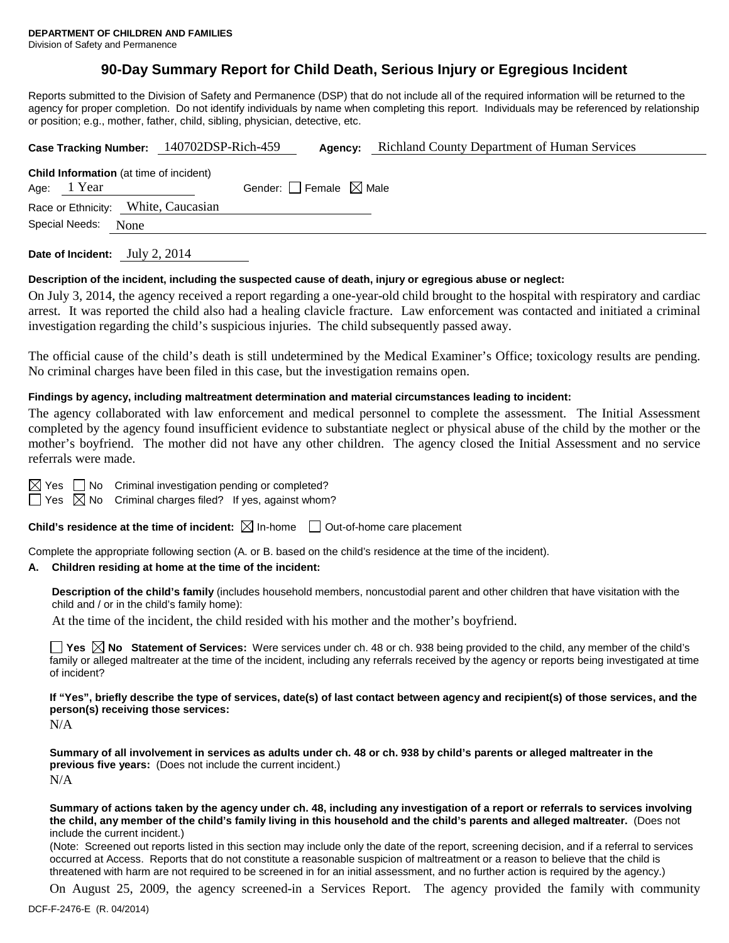Division of Safety and Permanence

# **90-Day Summary Report for Child Death, Serious Injury or Egregious Incident**

Reports submitted to the Division of Safety and Permanence (DSP) that do not include all of the required information will be returned to the agency for proper completion. Do not identify individuals by name when completing this report. Individuals may be referenced by relationship or position; e.g., mother, father, child, sibling, physician, detective, etc.

|                                                                 | Case Tracking Number: 140702DSP-Rich-459 | Agency:                         | <b>Richland County Department of Human Services</b> |
|-----------------------------------------------------------------|------------------------------------------|---------------------------------|-----------------------------------------------------|
| <b>Child Information</b> (at time of incident)<br>Age: $1$ Year |                                          | Gender: Female $\boxtimes$ Male |                                                     |
| Race or Ethnicity: White, Caucasian                             |                                          |                                 |                                                     |
| Special Needs:<br>None                                          |                                          |                                 |                                                     |
|                                                                 |                                          |                                 |                                                     |

**Date of Incident:** July 2, 2014

### **Description of the incident, including the suspected cause of death, injury or egregious abuse or neglect:**

On July 3, 2014, the agency received a report regarding a one-year-old child brought to the hospital with respiratory and cardiac arrest. It was reported the child also had a healing clavicle fracture. Law enforcement was contacted and initiated a criminal investigation regarding the child's suspicious injuries. The child subsequently passed away.

The official cause of the child's death is still undetermined by the Medical Examiner's Office; toxicology results are pending. No criminal charges have been filed in this case, but the investigation remains open.

### **Findings by agency, including maltreatment determination and material circumstances leading to incident:**

The agency collaborated with law enforcement and medical personnel to complete the assessment. The Initial Assessment completed by the agency found insufficient evidence to substantiate neglect or physical abuse of the child by the mother or the mother's boyfriend. The mother did not have any other children. The agency closed the Initial Assessment and no service referrals were made.

 $\boxtimes$  Yes  $\Box$  No Criminal investigation pending or completed?

 $\Box$  Yes  $\boxtimes$  No Criminal charges filed? If yes, against whom?

**Child's residence at the time of incident:**  $\boxtimes$  In-home  $\Box$  Out-of-home care placement

Complete the appropriate following section (A. or B. based on the child's residence at the time of the incident).

#### **A. Children residing at home at the time of the incident:**

**Description of the child's family** (includes household members, noncustodial parent and other children that have visitation with the child and / or in the child's family home):

At the time of the incident, the child resided with his mother and the mother's boyfriend.

■ Yes **No** Statement of Services: Were services under ch. 48 or ch. 938 being provided to the child, any member of the child's family or alleged maltreater at the time of the incident, including any referrals received by the agency or reports being investigated at time of incident?

**If "Yes", briefly describe the type of services, date(s) of last contact between agency and recipient(s) of those services, and the person(s) receiving those services:**

N/A

**Summary of all involvement in services as adults under ch. 48 or ch. 938 by child's parents or alleged maltreater in the previous five years:** (Does not include the current incident.) N/A

**Summary of actions taken by the agency under ch. 48, including any investigation of a report or referrals to services involving the child, any member of the child's family living in this household and the child's parents and alleged maltreater.** (Does not include the current incident.)

(Note: Screened out reports listed in this section may include only the date of the report, screening decision, and if a referral to services occurred at Access. Reports that do not constitute a reasonable suspicion of maltreatment or a reason to believe that the child is threatened with harm are not required to be screened in for an initial assessment, and no further action is required by the agency.)

On August 25, 2009, the agency screened-in a Services Report. The agency provided the family with community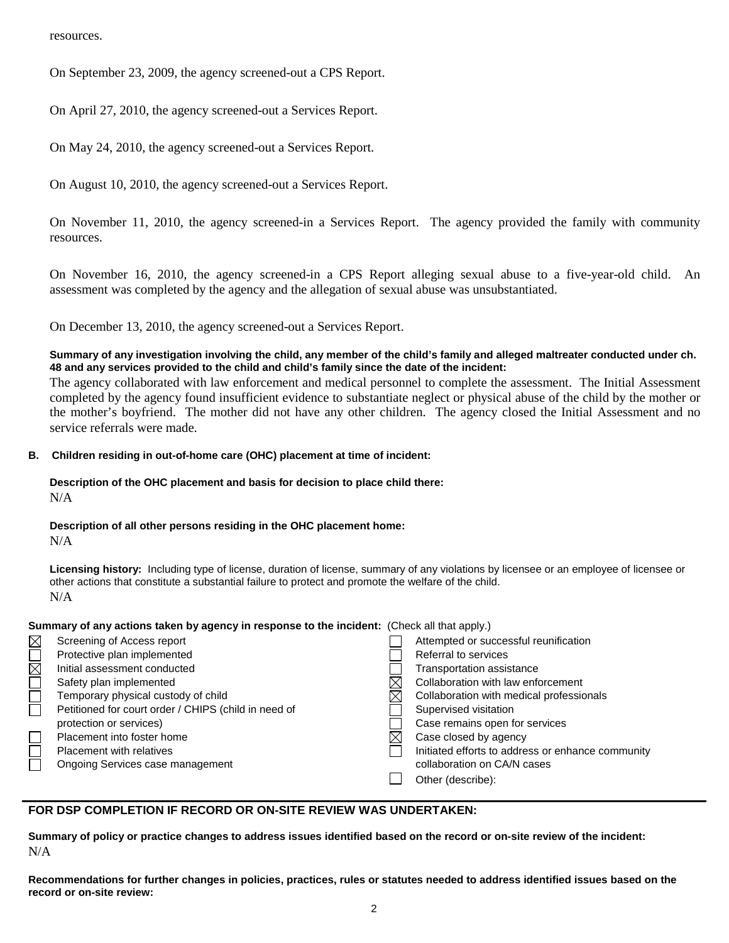resources.

On September 23, 2009, the agency screened-out a CPS Report.

On April 27, 2010, the agency screened-out a Services Report.

On May 24, 2010, the agency screened-out a Services Report.

On August 10, 2010, the agency screened-out a Services Report.

On November 11, 2010, the agency screened-in a Services Report. The agency provided the family with community resources.

On November 16, 2010, the agency screened-in a CPS Report alleging sexual abuse to a five-year-old child. An assessment was completed by the agency and the allegation of sexual abuse was unsubstantiated.

On December 13, 2010, the agency screened-out a Services Report.

## **Summary of any investigation involving the child, any member of the child's family and alleged maltreater conducted under ch. 48 and any services provided to the child and child's family since the date of the incident:**

The agency collaborated with law enforcement and medical personnel to complete the assessment. The Initial Assessment completed by the agency found insufficient evidence to substantiate neglect or physical abuse of the child by the mother or the mother's boyfriend. The mother did not have any other children. The agency closed the Initial Assessment and no service referrals were made.

### **B. Children residing in out-of-home care (OHC) placement at time of incident:**

### **Description of the OHC placement and basis for decision to place child there:** N/A

# **Description of all other persons residing in the OHC placement home:**

N/A

**Licensing history:** Including type of license, duration of license, summary of any violations by licensee or an employee of licensee or other actions that constitute a substantial failure to protect and promote the welfare of the child. N/A

# **Summary of any actions taken by agency in response to the incident:** (Check all that apply.)

| Screening of Access report                           | Attempted or successful reunification             |
|------------------------------------------------------|---------------------------------------------------|
| Protective plan implemented                          | Referral to services                              |
| Initial assessment conducted                         | <b>Transportation assistance</b>                  |
| Safety plan implemented                              | Collaboration with law enforcement                |
| Temporary physical custody of child                  | Collaboration with medical professionals          |
| Petitioned for court order / CHIPS (child in need of | Supervised visitation                             |
| protection or services)                              | Case remains open for services                    |
| Placement into foster home                           | Case closed by agency                             |
| <b>Placement with relatives</b>                      | Initiated efforts to address or enhance community |
| Ongoing Services case management                     | collaboration on CA/N cases                       |
|                                                      | Other (describe):                                 |

# **FOR DSP COMPLETION IF RECORD OR ON-SITE REVIEW WAS UNDERTAKEN:**

**Summary of policy or practice changes to address issues identified based on the record or on-site review of the incident:** N/A

**Recommendations for further changes in policies, practices, rules or statutes needed to address identified issues based on the record or on-site review:**